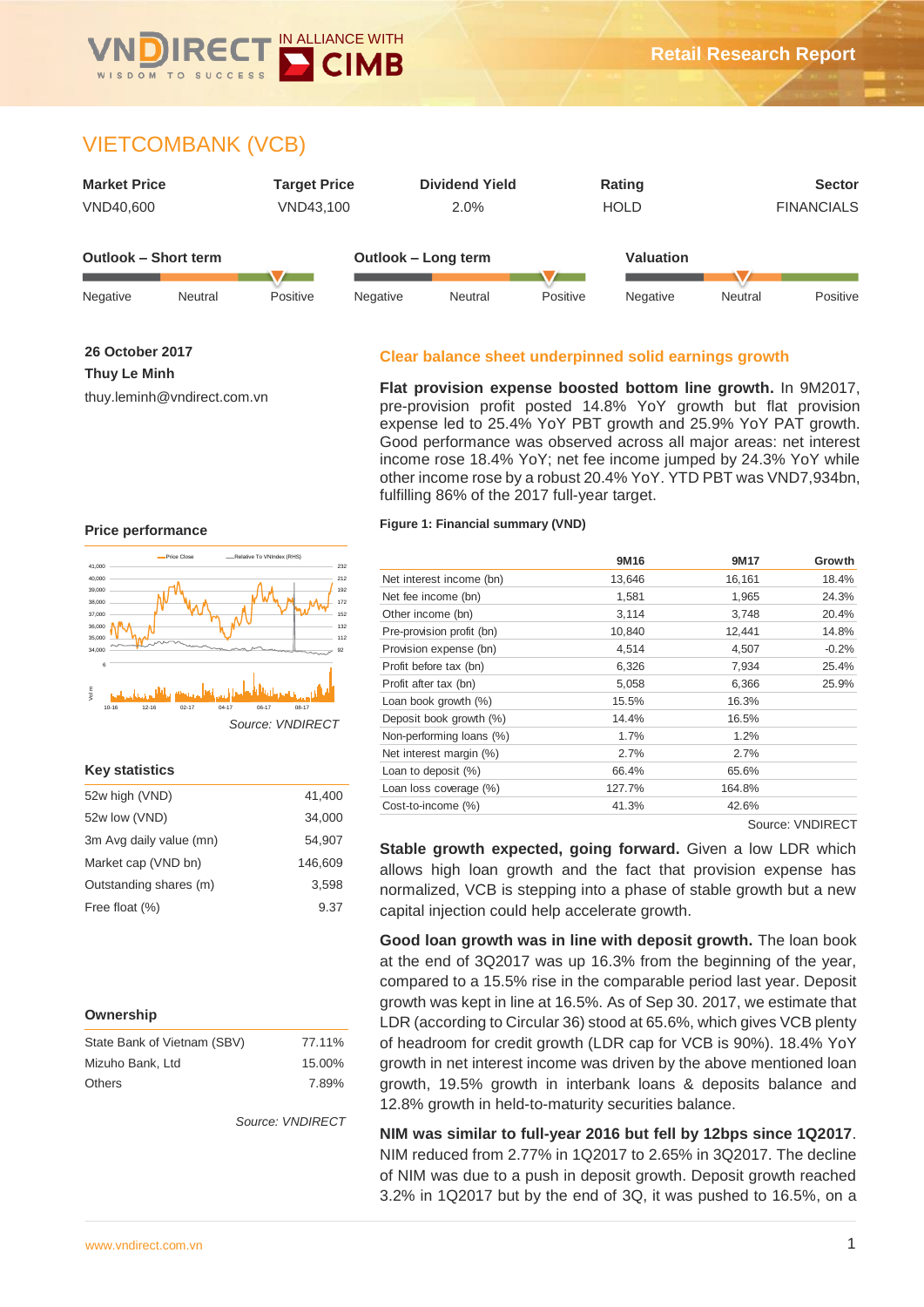

# VIETCOMBANK (VCB)



**26 October 2017**

**Thuy Le Minh**

thuy.leminh@vndirect.com.vn

# **Clear balance sheet underpinned solid earnings growth**

**Flat provision expense boosted bottom line growth.** In 9M2017, pre-provision profit posted 14.8% YoY growth but flat provision expense led to 25.4% YoY PBT growth and 25.9% YoY PAT growth. Good performance was observed across all major areas: net interest income rose 18.4% YoY; net fee income jumped by 24.3% YoY while other income rose by a robust 20.4% YoY. YTD PBT was VND7,934bn, fulfilling 86% of the 2017 full-year target.

#### **Price performance**



#### **Key statistics**

| 52w high (VND)          | 41,400  |
|-------------------------|---------|
| 52w low (VND)           | 34,000  |
| 3m Avg daily value (mn) | 54,907  |
| Market cap (VND bn)     | 146,609 |
| Outstanding shares (m)  | 3.598   |
| Free float (%)          | 9.37    |

#### **Ownership**

| State Bank of Vietnam (SBV) | 77.11% |
|-----------------------------|--------|
| Mizuho Bank, Ltd            | 15.00% |
| <b>Others</b>               | 7.89%  |

*Source: VNDIRECT*

#### **Figure 1: Financial summary (VND)**

|                           | 9M <sub>16</sub> | 9M17   | Growth  |
|---------------------------|------------------|--------|---------|
| Net interest income (bn)  | 13,646           | 16,161 | 18.4%   |
| Net fee income (bn)       | 1,581            | 1,965  | 24.3%   |
| Other income (bn)         | 3,114            | 3,748  | 20.4%   |
| Pre-provision profit (bn) | 10,840           | 12,441 | 14.8%   |
| Provision expense (bn)    | 4,514            | 4,507  | $-0.2%$ |
| Profit before tax (bn)    | 6,326            | 7,934  | 25.4%   |
| Profit after tax (bn)     | 5,058            | 6,366  | 25.9%   |
| Loan book growth (%)      | 15.5%            | 16.3%  |         |
| Deposit book growth (%)   | 14.4%            | 16.5%  |         |
| Non-performing loans (%)  | 1.7%             | 1.2%   |         |
| Net interest margin (%)   | 2.7%             | 2.7%   |         |
| Loan to deposit (%)       | 66.4%            | 65.6%  |         |
| Loan loss coverage (%)    | 127.7%           | 164.8% |         |
| Cost-to-income (%)        | 41.3%            | 42.6%  |         |
|                           |                  |        |         |

Source: VNDIRECT

**Stable growth expected, going forward.** Given a low LDR which allows high loan growth and the fact that provision expense has normalized, VCB is stepping into a phase of stable growth but a new capital injection could help accelerate growth.

**Good loan growth was in line with deposit growth.** The loan book at the end of 3Q2017 was up 16.3% from the beginning of the year, compared to a 15.5% rise in the comparable period last year. Deposit growth was kept in line at 16.5%. As of Sep 30. 2017, we estimate that LDR (according to Circular 36) stood at 65.6%, which gives VCB plenty of headroom for credit growth (LDR cap for VCB is 90%). 18.4% YoY growth in net interest income was driven by the above mentioned loan growth, 19.5% growth in interbank loans & deposits balance and 12.8% growth in held-to-maturity securities balance.

**NIM was similar to full-year 2016 but fell by 12bps since 1Q2017**. NIM reduced from 2.77% in 1Q2017 to 2.65% in 3Q2017. The decline of NIM was due to a push in deposit growth. Deposit growth reached 3.2% in 1Q2017 but by the end of 3Q, it was pushed to 16.5%, on a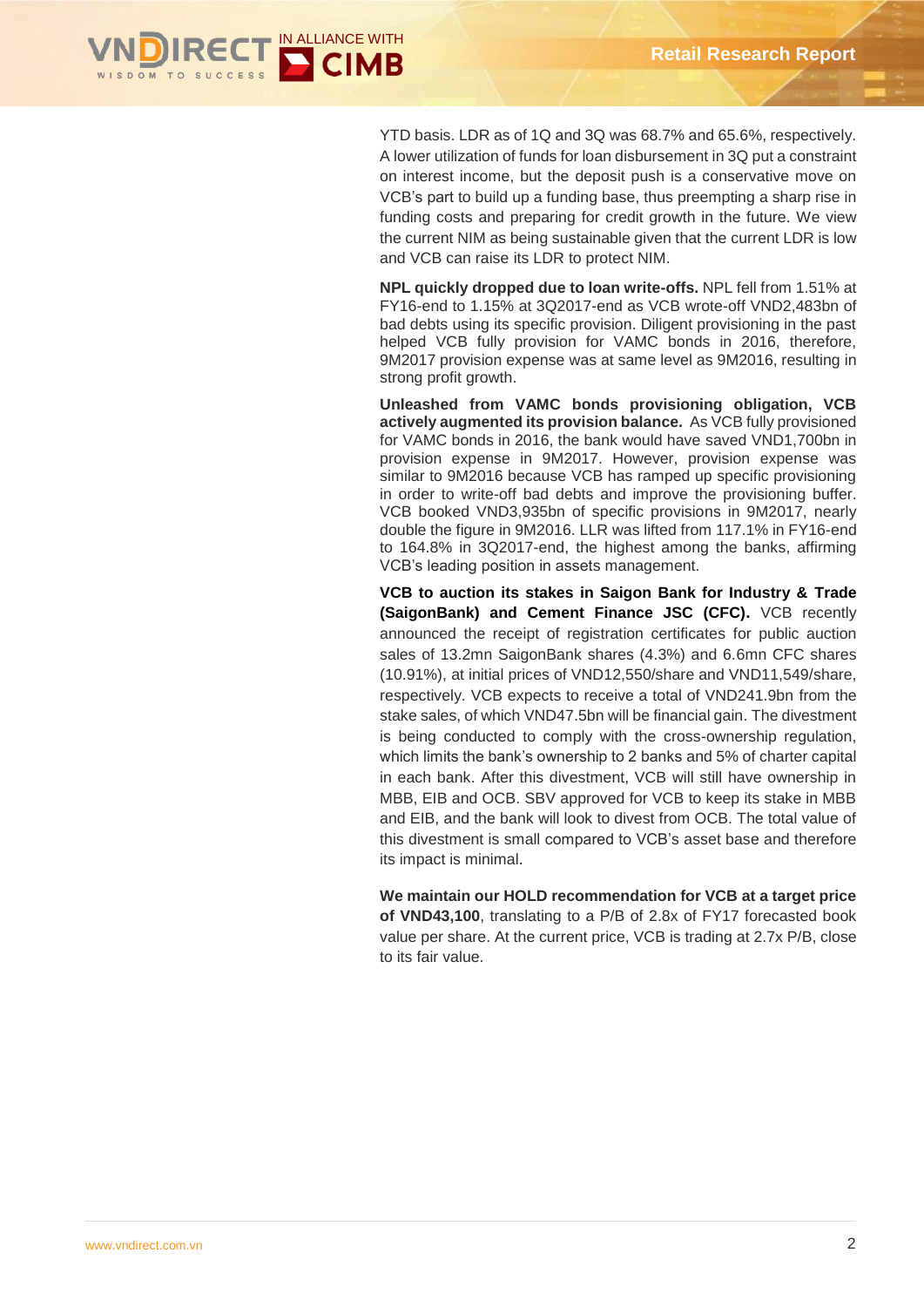

YTD basis. LDR as of 1Q and 3Q was 68.7% and 65.6%, respectively. A lower utilization of funds for loan disbursement in 3Q put a constraint on interest income, but the deposit push is a conservative move on VCB's part to build up a funding base, thus preempting a sharp rise in funding costs and preparing for credit growth in the future. We view the current NIM as being sustainable given that the current LDR is low and VCB can raise its LDR to protect NIM.

**NPL quickly dropped due to loan write-offs.** NPL fell from 1.51% at FY16-end to 1.15% at 3Q2017-end as VCB wrote-off VND2,483bn of bad debts using its specific provision. Diligent provisioning in the past helped VCB fully provision for VAMC bonds in 2016, therefore, 9M2017 provision expense was at same level as 9M2016, resulting in strong profit growth.

**Unleashed from VAMC bonds provisioning obligation, VCB actively augmented its provision balance.** As VCB fully provisioned for VAMC bonds in 2016, the bank would have saved VND1,700bn in provision expense in 9M2017. However, provision expense was similar to 9M2016 because VCB has ramped up specific provisioning in order to write-off bad debts and improve the provisioning buffer. VCB booked VND3,935bn of specific provisions in 9M2017, nearly double the figure in 9M2016. LLR was lifted from 117.1% in FY16-end to 164.8% in 3Q2017-end, the highest among the banks, affirming VCB's leading position in assets management.

**VCB to auction its stakes in Saigon Bank for Industry & Trade (SaigonBank) and Cement Finance JSC (CFC).** VCB recently announced the receipt of registration certificates for public auction sales of 13.2mn SaigonBank shares (4.3%) and 6.6mn CFC shares (10.91%), at initial prices of VND12,550/share and VND11,549/share, respectively. VCB expects to receive a total of VND241.9bn from the stake sales, of which VND47.5bn will be financial gain. The divestment is being conducted to comply with the cross-ownership regulation, which limits the bank's ownership to 2 banks and 5% of charter capital in each bank. After this divestment, VCB will still have ownership in MBB, EIB and OCB. SBV approved for VCB to keep its stake in MBB and EIB, and the bank will look to divest from OCB. The total value of this divestment is small compared to VCB's asset base and therefore its impact is minimal.

**We maintain our HOLD recommendation for VCB at a target price** 

**of VND43,100**, translating to a P/B of 2.8x of FY17 forecasted book value per share. At the current price, VCB is trading at 2.7x P/B, close to its fair value.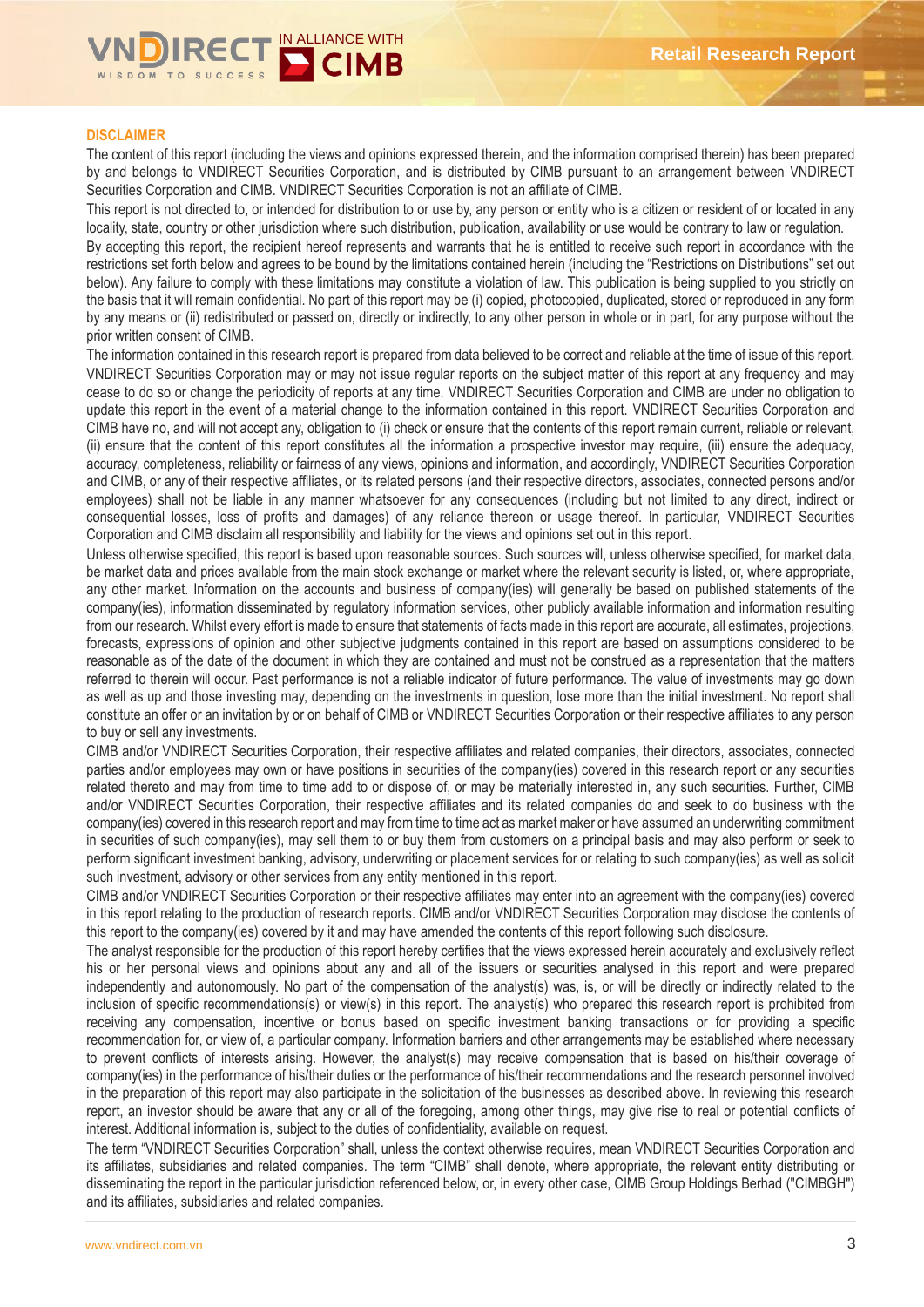

#### **DISCLAIMER**

The content of this report (including the views and opinions expressed therein, and the information comprised therein) has been prepared by and belongs to VNDIRECT Securities Corporation, and is distributed by CIMB pursuant to an arrangement between VNDIRECT Securities Corporation and CIMB. VNDIRECT Securities Corporation is not an affiliate of CIMB.

This report is not directed to, or intended for distribution to or use by, any person or entity who is a citizen or resident of or located in any locality, state, country or other jurisdiction where such distribution, publication, availability or use would be contrary to law or regulation.

By accepting this report, the recipient hereof represents and warrants that he is entitled to receive such report in accordance with the restrictions set forth below and agrees to be bound by the limitations contained herein (including the "Restrictions on Distributions" set out below). Any failure to comply with these limitations may constitute a violation of law. This publication is being supplied to you strictly on the basis that it will remain confidential. No part of this report may be (i) copied, photocopied, duplicated, stored or reproduced in any form by any means or (ii) redistributed or passed on, directly or indirectly, to any other person in whole or in part, for any purpose without the prior written consent of CIMB.

The information contained in this research report is prepared from data believed to be correct and reliable at the time of issue of this report. VNDIRECT Securities Corporation may or may not issue regular reports on the subject matter of this report at any frequency and may cease to do so or change the periodicity of reports at any time. VNDIRECT Securities Corporation and CIMB are under no obligation to update this report in the event of a material change to the information contained in this report. VNDIRECT Securities Corporation and CIMB have no, and will not accept any, obligation to (i) check or ensure that the contents of this report remain current, reliable or relevant, (ii) ensure that the content of this report constitutes all the information a prospective investor may require, (iii) ensure the adequacy, accuracy, completeness, reliability or fairness of any views, opinions and information, and accordingly, VNDIRECT Securities Corporation and CIMB, or any of their respective affiliates, or its related persons (and their respective directors, associates, connected persons and/or employees) shall not be liable in any manner whatsoever for any consequences (including but not limited to any direct, indirect or consequential losses, loss of profits and damages) of any reliance thereon or usage thereof. In particular, VNDIRECT Securities Corporation and CIMB disclaim all responsibility and liability for the views and opinions set out in this report.

Unless otherwise specified, this report is based upon reasonable sources. Such sources will, unless otherwise specified, for market data, be market data and prices available from the main stock exchange or market where the relevant security is listed, or, where appropriate, any other market. Information on the accounts and business of company(ies) will generally be based on published statements of the company(ies), information disseminated by regulatory information services, other publicly available information and information resulting from our research. Whilst every effort is made to ensure that statements of facts made in this report are accurate, all estimates, projections, forecasts, expressions of opinion and other subjective judgments contained in this report are based on assumptions considered to be reasonable as of the date of the document in which they are contained and must not be construed as a representation that the matters referred to therein will occur. Past performance is not a reliable indicator of future performance. The value of investments may go down as well as up and those investing may, depending on the investments in question, lose more than the initial investment. No report shall constitute an offer or an invitation by or on behalf of CIMB or VNDIRECT Securities Corporation or their respective affiliates to any person to buy or sell any investments.

CIMB and/or VNDIRECT Securities Corporation, their respective affiliates and related companies, their directors, associates, connected parties and/or employees may own or have positions in securities of the company(ies) covered in this research report or any securities related thereto and may from time to time add to or dispose of, or may be materially interested in, any such securities. Further, CIMB and/or VNDIRECT Securities Corporation, their respective affiliates and its related companies do and seek to do business with the company(ies) covered in this research report and may from time to time act as market maker or have assumed an underwriting commitment in securities of such company(ies), may sell them to or buy them from customers on a principal basis and may also perform or seek to perform significant investment banking, advisory, underwriting or placement services for or relating to such company(ies) as well as solicit such investment, advisory or other services from any entity mentioned in this report.

CIMB and/or VNDIRECT Securities Corporation or their respective affiliates may enter into an agreement with the company(ies) covered in this report relating to the production of research reports. CIMB and/or VNDIRECT Securities Corporation may disclose the contents of this report to the company(ies) covered by it and may have amended the contents of this report following such disclosure.

The analyst responsible for the production of this report hereby certifies that the views expressed herein accurately and exclusively reflect his or her personal views and opinions about any and all of the issuers or securities analysed in this report and were prepared independently and autonomously. No part of the compensation of the analyst(s) was, is, or will be directly or indirectly related to the inclusion of specific recommendations(s) or view(s) in this report. The analyst(s) who prepared this research report is prohibited from receiving any compensation, incentive or bonus based on specific investment banking transactions or for providing a specific recommendation for, or view of, a particular company. Information barriers and other arrangements may be established where necessary to prevent conflicts of interests arising. However, the analyst(s) may receive compensation that is based on his/their coverage of company(ies) in the performance of his/their duties or the performance of his/their recommendations and the research personnel involved in the preparation of this report may also participate in the solicitation of the businesses as described above. In reviewing this research report, an investor should be aware that any or all of the foregoing, among other things, may give rise to real or potential conflicts of interest. Additional information is, subject to the duties of confidentiality, available on request.

The term "VNDIRECT Securities Corporation" shall, unless the context otherwise requires, mean VNDIRECT Securities Corporation and its affiliates, subsidiaries and related companies. The term "CIMB" shall denote, where appropriate, the relevant entity distributing or disseminating the report in the particular jurisdiction referenced below, or, in every other case, CIMB Group Holdings Berhad ("CIMBGH") and its affiliates, subsidiaries and related companies.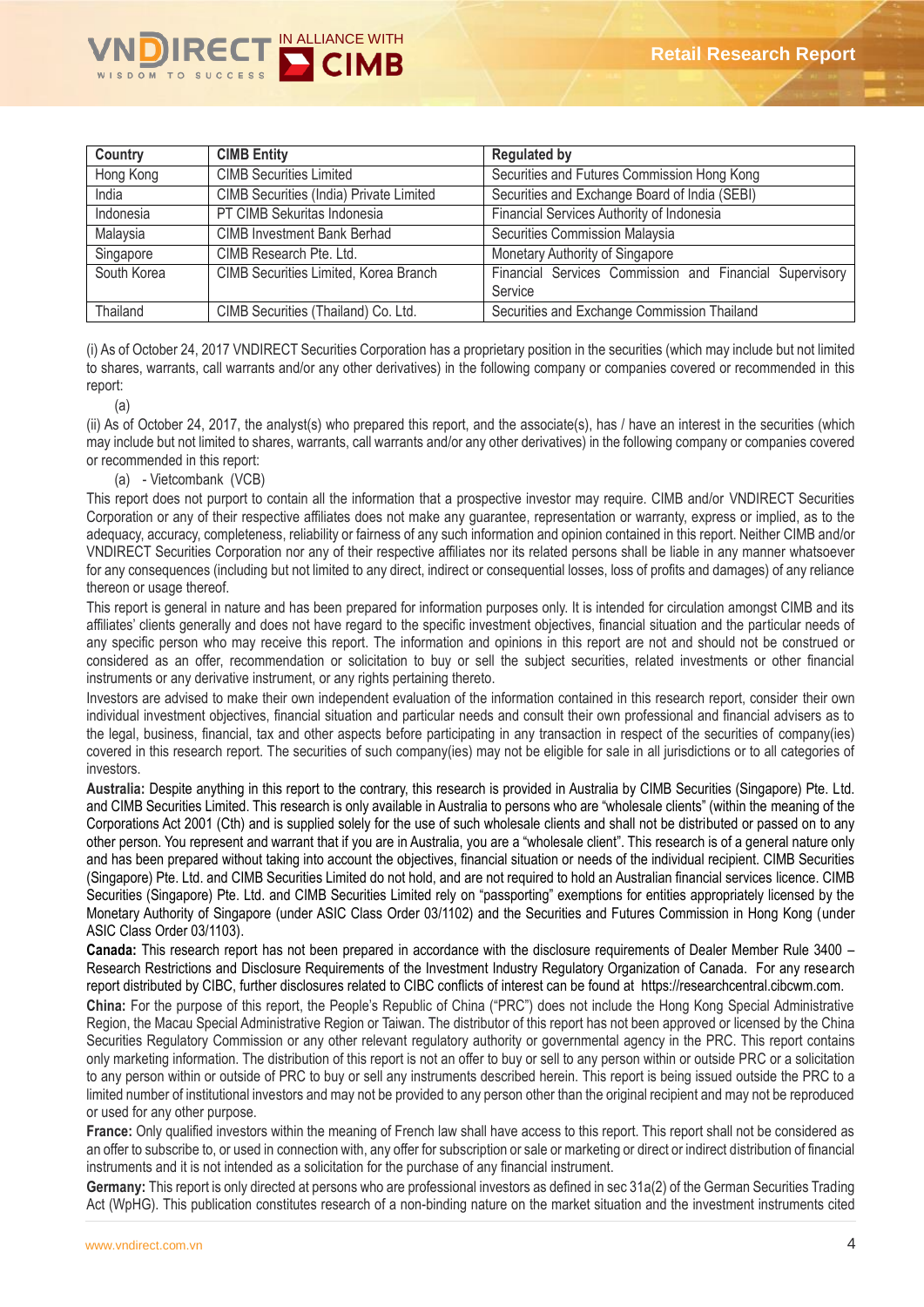

| Country     | <b>CIMB Entity</b>                      | <b>Regulated by</b>                                                |
|-------------|-----------------------------------------|--------------------------------------------------------------------|
| Hong Kong   | <b>CIMB Securities Limited</b>          | Securities and Futures Commission Hong Kong                        |
| India       | CIMB Securities (India) Private Limited | Securities and Exchange Board of India (SEBI)                      |
| Indonesia   | PT CIMB Sekuritas Indonesia             | Financial Services Authority of Indonesia                          |
| Malaysia    | <b>CIMB Investment Bank Berhad</b>      | Securities Commission Malaysia                                     |
| Singapore   | CIMB Research Pte. Ltd.                 | Monetary Authority of Singapore                                    |
| South Korea | CIMB Securities Limited, Korea Branch   | Financial Services Commission and Financial Supervisory<br>Service |
| Thailand    | CIMB Securities (Thailand) Co. Ltd.     | Securities and Exchange Commission Thailand                        |

(i) As of October 24, 2017 VNDIRECT Securities Corporation has a proprietary position in the securities (which may include but not limited to shares, warrants, call warrants and/or any other derivatives) in the following company or companies covered or recommended in this report:

(a)

(ii) As of October 24, 2017, the analyst(s) who prepared this report, and the associate(s), has / have an interest in the securities (which may include but not limited to shares, warrants, call warrants and/or any other derivatives) in the following company or companies covered or recommended in this report:

#### (a) - Vietcombank (VCB)

This report does not purport to contain all the information that a prospective investor may require. CIMB and/or VNDIRECT Securities Corporation or any of their respective affiliates does not make any guarantee, representation or warranty, express or implied, as to the adequacy, accuracy, completeness, reliability or fairness of any such information and opinion contained in this report. Neither CIMB and/or VNDIRECT Securities Corporation nor any of their respective affiliates nor its related persons shall be liable in any manner whatsoever for any consequences (including but not limited to any direct, indirect or consequential losses, loss of profits and damages) of any reliance thereon or usage thereof.

This report is general in nature and has been prepared for information purposes only. It is intended for circulation amongst CIMB and its affiliates' clients generally and does not have regard to the specific investment objectives, financial situation and the particular needs of any specific person who may receive this report. The information and opinions in this report are not and should not be construed or considered as an offer, recommendation or solicitation to buy or sell the subject securities, related investments or other financial instruments or any derivative instrument, or any rights pertaining thereto.

Investors are advised to make their own independent evaluation of the information contained in this research report, consider their own individual investment objectives, financial situation and particular needs and consult their own professional and financial advisers as to the legal, business, financial, tax and other aspects before participating in any transaction in respect of the securities of company(ies) covered in this research report. The securities of such company(ies) may not be eligible for sale in all jurisdictions or to all categories of investors.

**Australia:** Despite anything in this report to the contrary, this research is provided in Australia by CIMB Securities (Singapore) Pte. Ltd. and CIMB Securities Limited. This research is only available in Australia to persons who are "wholesale clients" (within the meaning of the Corporations Act 2001 (Cth) and is supplied solely for the use of such wholesale clients and shall not be distributed or passed on to any other person. You represent and warrant that if you are in Australia, you are a "wholesale client". This research is of a general nature only and has been prepared without taking into account the objectives, financial situation or needs of the individual recipient. CIMB Securities (Singapore) Pte. Ltd. and CIMB Securities Limited do not hold, and are not required to hold an Australian financial services licence. CIMB Securities (Singapore) Pte. Ltd. and CIMB Securities Limited rely on "passporting" exemptions for entities appropriately licensed by the Monetary Authority of Singapore (under ASIC Class Order 03/1102) and the Securities and Futures Commission in Hong Kong (under ASIC Class Order 03/1103).

**Canada:** This research report has not been prepared in accordance with the disclosure requirements of Dealer Member Rule 3400 – Research Restrictions and Disclosure Requirements of the Investment Industry Regulatory Organization of Canada. For any research report distributed by CIBC, further disclosures related to CIBC conflicts of interest can be found at https://researchcentral.cibcwm.com.

**China:** For the purpose of this report, the People's Republic of China ("PRC") does not include the Hong Kong Special Administrative Region, the Macau Special Administrative Region or Taiwan. The distributor of this report has not been approved or licensed by the China Securities Regulatory Commission or any other relevant regulatory authority or governmental agency in the PRC. This report contains only marketing information. The distribution of this report is not an offer to buy or sell to any person within or outside PRC or a solicitation to any person within or outside of PRC to buy or sell any instruments described herein. This report is being issued outside the PRC to a limited number of institutional investors and may not be provided to any person other than the original recipient and may not be reproduced or used for any other purpose.

France: Only qualified investors within the meaning of French law shall have access to this report. This report shall not be considered as an offer to subscribe to, or used in connection with, any offer for subscription or sale or marketing or direct or indirect distribution of financial instruments and it is not intended as a solicitation for the purchase of any financial instrument.

**Germany:** This report is only directed at persons who are professional investors as defined in sec 31a(2) of the German Securities Trading Act (WpHG). This publication constitutes research of a non-binding nature on the market situation and the investment instruments cited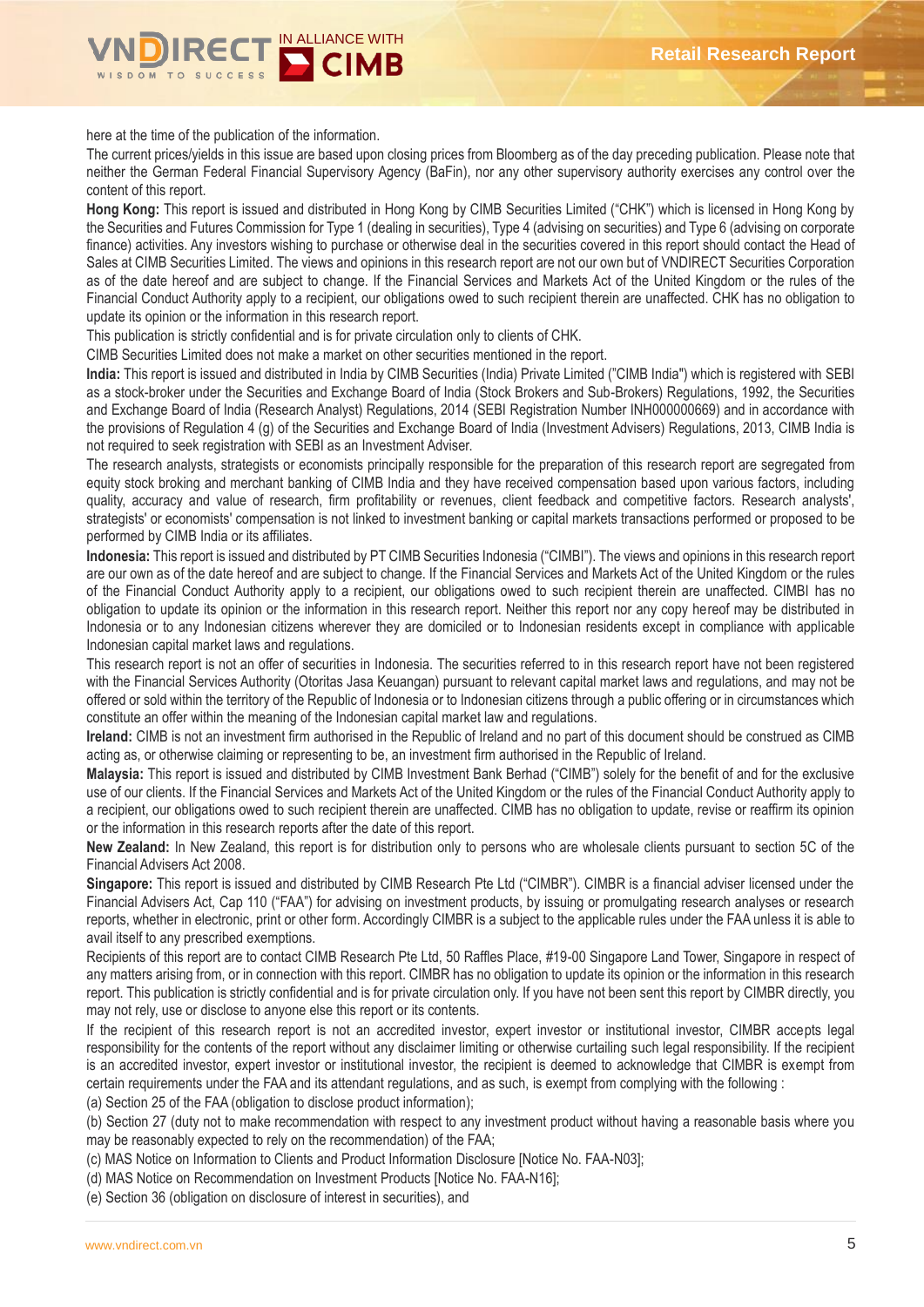

here at the time of the publication of the information.

The current prices/yields in this issue are based upon closing prices from Bloomberg as of the day preceding publication. Please note that neither the German Federal Financial Supervisory Agency (BaFin), nor any other supervisory authority exercises any control over the content of this report.

**Hong Kong:** This report is issued and distributed in Hong Kong by CIMB Securities Limited ("CHK") which is licensed in Hong Kong by the Securities and Futures Commission for Type 1 (dealing in securities), Type 4 (advising on securities) and Type 6 (advising on corporate finance) activities. Any investors wishing to purchase or otherwise deal in the securities covered in this report should contact the Head of Sales at CIMB Securities Limited. The views and opinions in this research report are not our own but of VNDIRECT Securities Corporation as of the date hereof and are subject to change. If the Financial Services and Markets Act of the United Kingdom or the rules of the Financial Conduct Authority apply to a recipient, our obligations owed to such recipient therein are unaffected. CHK has no obligation to update its opinion or the information in this research report.

This publication is strictly confidential and is for private circulation only to clients of CHK.

CIMB Securities Limited does not make a market on other securities mentioned in the report.

**India:** This report is issued and distributed in India by CIMB Securities (India) Private Limited ("CIMB India") which is registered with SEBI as a stock-broker under the Securities and Exchange Board of India (Stock Brokers and Sub-Brokers) Regulations, 1992, the Securities and Exchange Board of India (Research Analyst) Regulations, 2014 (SEBI Registration Number INH000000669) and in accordance with the provisions of Regulation 4 (g) of the Securities and Exchange Board of India (Investment Advisers) Regulations, 2013, CIMB India is not required to seek registration with SEBI as an Investment Adviser.

The research analysts, strategists or economists principally responsible for the preparation of this research report are segregated from equity stock broking and merchant banking of CIMB India and they have received compensation based upon various factors, including quality, accuracy and value of research, firm profitability or revenues, client feedback and competitive factors. Research analysts', strategists' or economists' compensation is not linked to investment banking or capital markets transactions performed or proposed to be performed by CIMB India or its affiliates.

**Indonesia:** This report is issued and distributed by PT CIMB Securities Indonesia ("CIMBI"). The views and opinions in this research report are our own as of the date hereof and are subject to change. If the Financial Services and Markets Act of the United Kingdom or the rules of the Financial Conduct Authority apply to a recipient, our obligations owed to such recipient therein are unaffected. CIMBI has no obligation to update its opinion or the information in this research report. Neither this report nor any copy hereof may be distributed in Indonesia or to any Indonesian citizens wherever they are domiciled or to Indonesian residents except in compliance with applicable Indonesian capital market laws and regulations.

This research report is not an offer of securities in Indonesia. The securities referred to in this research report have not been registered with the Financial Services Authority (Otoritas Jasa Keuangan) pursuant to relevant capital market laws and regulations, and may not be offered or sold within the territory of the Republic of Indonesia or to Indonesian citizens through a public offering or in circumstances which constitute an offer within the meaning of the Indonesian capital market law and regulations.

**Ireland:** CIMB is not an investment firm authorised in the Republic of Ireland and no part of this document should be construed as CIMB acting as, or otherwise claiming or representing to be, an investment firm authorised in the Republic of Ireland.

**Malaysia:** This report is issued and distributed by CIMB Investment Bank Berhad ("CIMB") solely for the benefit of and for the exclusive use of our clients. If the Financial Services and Markets Act of the United Kingdom or the rules of the Financial Conduct Authority apply to a recipient, our obligations owed to such recipient therein are unaffected. CIMB has no obligation to update, revise or reaffirm its opinion or the information in this research reports after the date of this report.

**New Zealand:** In New Zealand, this report is for distribution only to persons who are wholesale clients pursuant to section 5C of the Financial Advisers Act 2008.

**Singapore:** This report is issued and distributed by CIMB Research Pte Ltd ("CIMBR"). CIMBR is a financial adviser licensed under the Financial Advisers Act, Cap 110 ("FAA") for advising on investment products, by issuing or promulgating research analyses or research reports, whether in electronic, print or other form. Accordingly CIMBR is a subject to the applicable rules under the FAA unless it is able to avail itself to any prescribed exemptions.

Recipients of this report are to contact CIMB Research Pte Ltd, 50 Raffles Place, #19-00 Singapore Land Tower, Singapore in respect of any matters arising from, or in connection with this report. CIMBR has no obligation to update its opinion or the information in this research report. This publication is strictly confidential and is for private circulation only. If you have not been sent this report by CIMBR directly, you may not rely, use or disclose to anyone else this report or its contents.

If the recipient of this research report is not an accredited investor, expert investor or institutional investor, CIMBR accepts legal responsibility for the contents of the report without any disclaimer limiting or otherwise curtailing such legal responsibility. If the recipient is an accredited investor, expert investor or institutional investor, the recipient is deemed to acknowledge that CIMBR is exempt from certain requirements under the FAA and its attendant regulations, and as such, is exempt from complying with the following :

(a) Section 25 of the FAA (obligation to disclose product information);

(b) Section 27 (duty not to make recommendation with respect to any investment product without having a reasonable basis where you may be reasonably expected to rely on the recommendation) of the FAA;

(c) MAS Notice on Information to Clients and Product Information Disclosure [Notice No. FAA-N03];

(d) MAS Notice on Recommendation on Investment Products [Notice No. FAA-N16];

(e) Section 36 (obligation on disclosure of interest in securities), and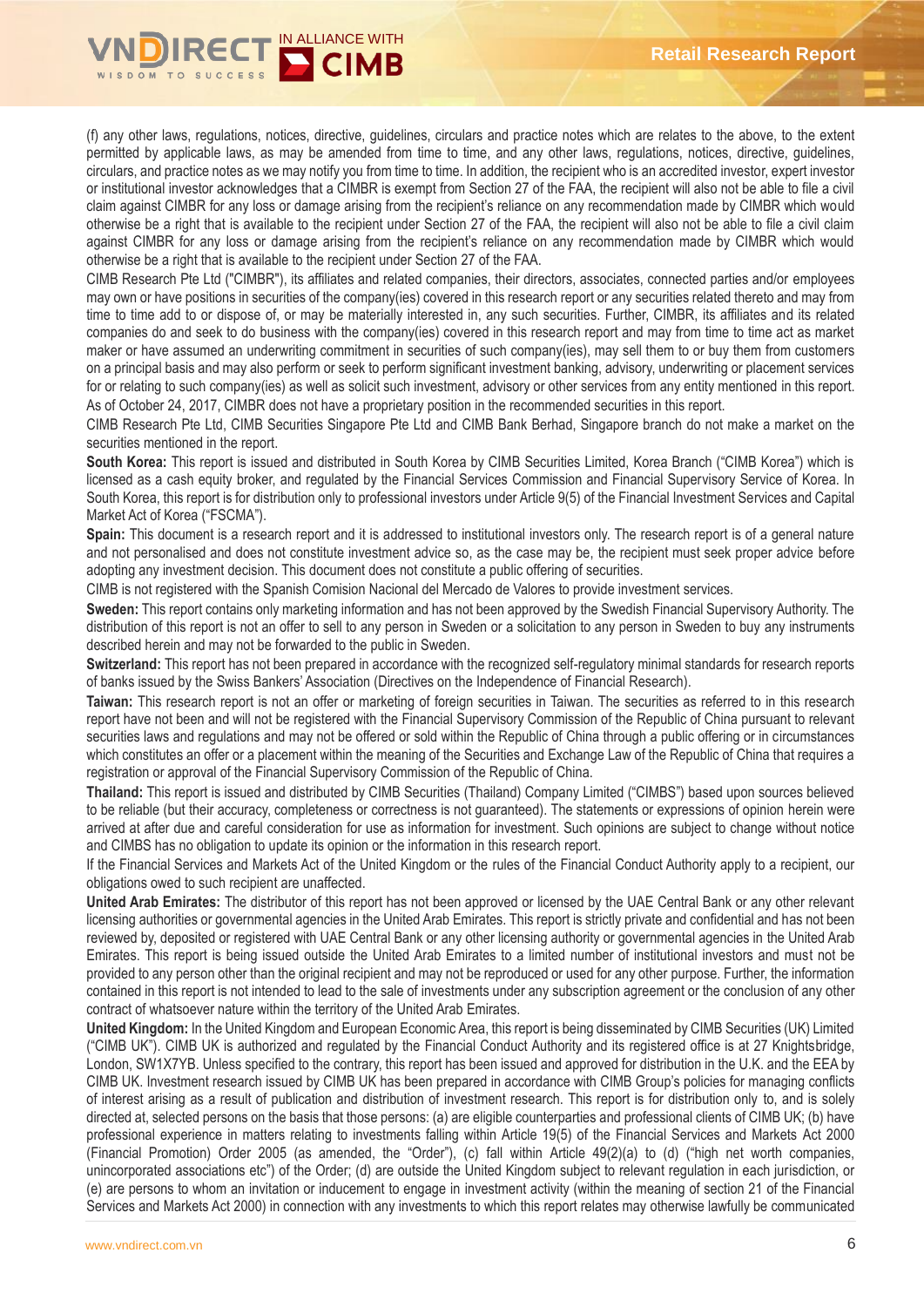

(f) any other laws, regulations, notices, directive, guidelines, circulars and practice notes which are relates to the above, to the extent permitted by applicable laws, as may be amended from time to time, and any other laws, regulations, notices, directive, guidelines, circulars, and practice notes as we may notify you from time to time. In addition, the recipient who is an accredited investor, expert investor or institutional investor acknowledges that a CIMBR is exempt from Section 27 of the FAA, the recipient will also not be able to file a civil claim against CIMBR for any loss or damage arising from the recipient's reliance on any recommendation made by CIMBR which would otherwise be a right that is available to the recipient under Section 27 of the FAA, the recipient will also not be able to file a civil claim against CIMBR for any loss or damage arising from the recipient's reliance on any recommendation made by CIMBR which would otherwise be a right that is available to the recipient under Section 27 of the FAA.

CIMB Research Pte Ltd ("CIMBR"), its affiliates and related companies, their directors, associates, connected parties and/or employees may own or have positions in securities of the company(ies) covered in this research report or any securities related thereto and may from time to time add to or dispose of, or may be materially interested in, any such securities. Further, CIMBR, its affiliates and its related companies do and seek to do business with the company(ies) covered in this research report and may from time to time act as market maker or have assumed an underwriting commitment in securities of such company(ies), may sell them to or buy them from customers on a principal basis and may also perform or seek to perform significant investment banking, advisory, underwriting or placement services for or relating to such company(ies) as well as solicit such investment, advisory or other services from any entity mentioned in this report. As of October 24, 2017, CIMBR does not have a proprietary position in the recommended securities in this report.

CIMB Research Pte Ltd, CIMB Securities Singapore Pte Ltd and CIMB Bank Berhad, Singapore branch do not make a market on the securities mentioned in the report.

**South Korea:** This report is issued and distributed in South Korea by CIMB Securities Limited, Korea Branch ("CIMB Korea") which is licensed as a cash equity broker, and regulated by the Financial Services Commission and Financial Supervisory Service of Korea. In South Korea, this report is for distribution only to professional investors under Article 9(5) of the Financial Investment Services and Capital Market Act of Korea ("FSCMA").

**Spain:** This document is a research report and it is addressed to institutional investors only. The research report is of a general nature and not personalised and does not constitute investment advice so, as the case may be, the recipient must seek proper advice before adopting any investment decision. This document does not constitute a public offering of securities.

CIMB is not registered with the Spanish Comision Nacional del Mercado de Valores to provide investment services.

**Sweden:** This report contains only marketing information and has not been approved by the Swedish Financial Supervisory Authority. The distribution of this report is not an offer to sell to any person in Sweden or a solicitation to any person in Sweden to buy any instruments described herein and may not be forwarded to the public in Sweden.

**Switzerland:** This report has not been prepared in accordance with the recognized self-regulatory minimal standards for research reports of banks issued by the Swiss Bankers' Association (Directives on the Independence of Financial Research).

**Taiwan:** This research report is not an offer or marketing of foreign securities in Taiwan. The securities as referred to in this research report have not been and will not be registered with the Financial Supervisory Commission of the Republic of China pursuant to relevant securities laws and regulations and may not be offered or sold within the Republic of China through a public offering or in circumstances which constitutes an offer or a placement within the meaning of the Securities and Exchange Law of the Republic of China that requires a registration or approval of the Financial Supervisory Commission of the Republic of China.

**Thailand:** This report is issued and distributed by CIMB Securities (Thailand) Company Limited ("CIMBS") based upon sources believed to be reliable (but their accuracy, completeness or correctness is not guaranteed). The statements or expressions of opinion herein were arrived at after due and careful consideration for use as information for investment. Such opinions are subject to change without notice and CIMBS has no obligation to update its opinion or the information in this research report.

If the Financial Services and Markets Act of the United Kingdom or the rules of the Financial Conduct Authority apply to a recipient, our obligations owed to such recipient are unaffected.

**United Arab Emirates:** The distributor of this report has not been approved or licensed by the UAE Central Bank or any other relevant licensing authorities or governmental agencies in the United Arab Emirates. This report is strictly private and confidential and has not been reviewed by, deposited or registered with UAE Central Bank or any other licensing authority or governmental agencies in the United Arab Emirates. This report is being issued outside the United Arab Emirates to a limited number of institutional investors and must not be provided to any person other than the original recipient and may not be reproduced or used for any other purpose. Further, the information contained in this report is not intended to lead to the sale of investments under any subscription agreement or the conclusion of any other contract of whatsoever nature within the territory of the United Arab Emirates.

**United Kingdom:** In the United Kingdom and European Economic Area, this report is being disseminated by CIMB Securities (UK) Limited ("CIMB UK"). CIMB UK is authorized and regulated by the Financial Conduct Authority and its registered office is at 27 Knightsbridge, London, SW1X7YB. Unless specified to the contrary, this report has been issued and approved for distribution in the U.K. and the EEA by CIMB UK. Investment research issued by CIMB UK has been prepared in accordance with CIMB Group's policies for managing conflicts of interest arising as a result of publication and distribution of investment research. This report is for distribution only to, and is solely directed at, selected persons on the basis that those persons: (a) are eligible counterparties and professional clients of CIMB UK; (b) have professional experience in matters relating to investments falling within Article 19(5) of the Financial Services and Markets Act 2000 (Financial Promotion) Order 2005 (as amended, the "Order"), (c) fall within Article 49(2)(a) to (d) ("high net worth companies, unincorporated associations etc") of the Order; (d) are outside the United Kingdom subject to relevant regulation in each jurisdiction, or (e) are persons to whom an invitation or inducement to engage in investment activity (within the meaning of section 21 of the Financial Services and Markets Act 2000) in connection with any investments to which this report relates may otherwise lawfully be communicated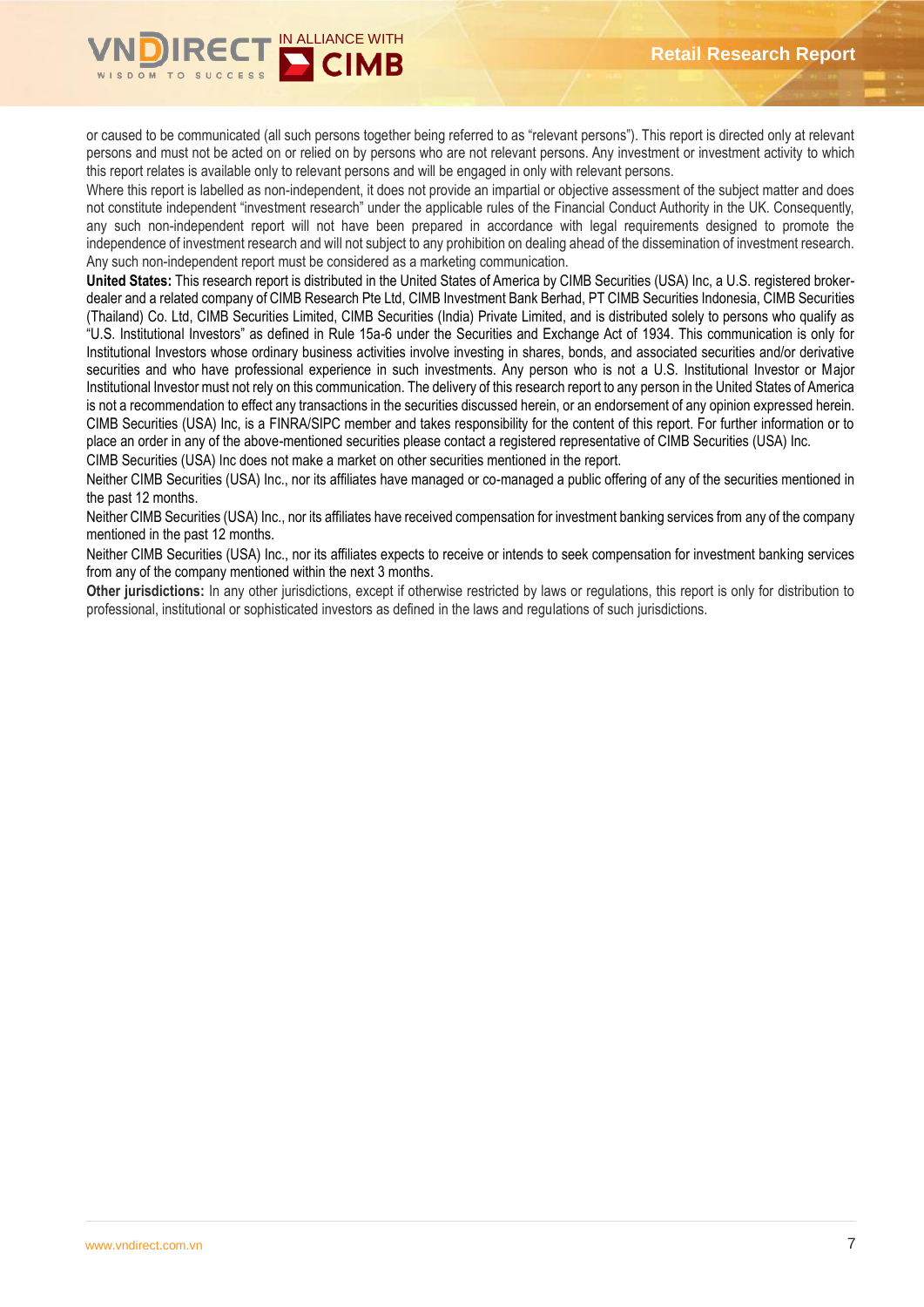

or caused to be communicated (all such persons together being referred to as "relevant persons"). This report is directed only at relevant persons and must not be acted on or relied on by persons who are not relevant persons. Any investment or investment activity to which this report relates is available only to relevant persons and will be engaged in only with relevant persons.

Where this report is labelled as non-independent, it does not provide an impartial or objective assessment of the subject matter and does not constitute independent "investment research" under the applicable rules of the Financial Conduct Authority in the UK. Consequently, any such non-independent report will not have been prepared in accordance with legal requirements designed to promote the independence of investment research and will not subject to any prohibition on dealing ahead of the dissemination of investment research. Any such non-independent report must be considered as a marketing communication.

**United States:** This research report is distributed in the United States of America by CIMB Securities (USA) Inc, a U.S. registered brokerdealer and a related company of CIMB Research Pte Ltd, CIMB Investment Bank Berhad, PT CIMB Securities Indonesia, CIMB Securities (Thailand) Co. Ltd, CIMB Securities Limited, CIMB Securities (India) Private Limited, and is distributed solely to persons who qualify as "U.S. Institutional Investors" as defined in Rule 15a-6 under the Securities and Exchange Act of 1934. This communication is only for Institutional Investors whose ordinary business activities involve investing in shares, bonds, and associated securities and/or derivative securities and who have professional experience in such investments. Any person who is not a U.S. Institutional Investor or Major Institutional Investor must not rely on this communication. The delivery of this research report to any person in the United States of America is not a recommendation to effect any transactions in the securities discussed herein, or an endorsement of any opinion expressed herein. CIMB Securities (USA) Inc, is a FINRA/SIPC member and takes responsibility for the content of this report. For further information or to place an order in any of the above-mentioned securities please contact a registered representative of CIMB Securities (USA) Inc.

CIMB Securities (USA) Inc does not make a market on other securities mentioned in the report.

Neither CIMB Securities (USA) Inc., nor its affiliates have managed or co-managed a public offering of any of the securities mentioned in the past 12 months.

Neither CIMB Securities (USA) Inc., nor its affiliates have received compensation for investment banking services from any of the company mentioned in the past 12 months.

Neither CIMB Securities (USA) Inc., nor its affiliates expects to receive or intends to seek compensation for investment banking services from any of the company mentioned within the next 3 months.

**Other jurisdictions:** In any other jurisdictions, except if otherwise restricted by laws or regulations, this report is only for distribution to professional, institutional or sophisticated investors as defined in the laws and regulations of such jurisdictions.